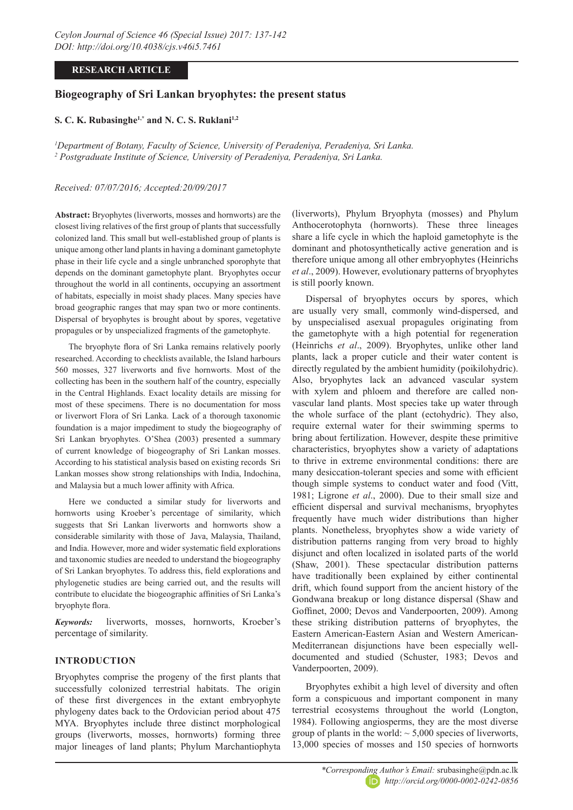# **RESEARCH ARTICLE**

# **Biogeography of Sri Lankan bryophytes: the present status**

### **S. C. K. Rubasinghe1,\* and N. C. S. Ruklani1,2**

*1 Department of Botany, Faculty of Science, University of Peradeniya, Peradeniya, Sri Lanka. 2 Postgraduate Institute of Science, University of Peradeniya, Peradeniya, Sri Lanka.*

### *Received: 07/07/2016; Accepted:20/09/2017*

**Abstract:** Bryophytes (liverworts, mosses and hornworts) are the closest living relatives of the first group of plants that successfully colonized land. This small but well-established group of plants is unique among other land plants in having a dominant gametophyte phase in their life cycle and a single unbranched sporophyte that depends on the dominant gametophyte plant. Bryophytes occur throughout the world in all continents, occupying an assortment of habitats, especially in moist shady places. Many species have broad geographic ranges that may span two or more continents. Dispersal of bryophytes is brought about by spores, vegetative propagules or by unspecialized fragments of the gametophyte.

The bryophyte flora of Sri Lanka remains relatively poorly researched. According to checklists available, the Island harbours 560 mosses, 327 liverworts and five hornworts. Most of the collecting has been in the southern half of the country, especially in the Central Highlands. Exact locality details are missing for most of these specimens. There is no documentation for moss or liverwort Flora of Sri Lanka. Lack of a thorough taxonomic foundation is a major impediment to study the biogeography of Sri Lankan bryophytes. O'Shea (2003) presented a summary of current knowledge of biogeography of Sri Lankan mosses. According to his statistical analysis based on existing records Sri Lankan mosses show strong relationships with India, Indochina, and Malaysia but a much lower affinity with Africa.

Here we conducted a similar study for liverworts and hornworts using Kroeber's percentage of similarity, which suggests that Sri Lankan liverworts and hornworts show a considerable similarity with those of Java, Malaysia, Thailand, and India. However, more and wider systematic field explorations and taxonomic studies are needed to understand the biogeography of Sri Lankan bryophytes. To address this, field explorations and phylogenetic studies are being carried out, and the results will contribute to elucidate the biogeographic affinities of Sri Lanka's bryophyte flora.

*Keywords:* liverworts, mosses, hornworts, Kroeber's percentage of similarity.

# **INTRODUCTION**

Bryophytes comprise the progeny of the first plants that successfully colonized terrestrial habitats. The origin of these first divergences in the extant embryophyte phylogeny dates back to the Ordovician period about 475 MYA. Bryophytes include three distinct morphological groups (liverworts, mosses, hornworts) forming three major lineages of land plants; Phylum Marchantiophyta

(liverworts), Phylum Bryophyta (mosses) and Phylum Anthocerotophyta (hornworts). These three lineages share a life cycle in which the haploid gametophyte is the dominant and photosynthetically active generation and is therefore unique among all other embryophytes (Heinrichs *et al*., 2009). However, evolutionary patterns of bryophytes is still poorly known.

Dispersal of bryophytes occurs by spores, which are usually very small, commonly wind-dispersed, and by unspecialised asexual propagules originating from the gametophyte with a high potential for regeneration (Heinrichs *et al*., 2009). Bryophytes, unlike other land plants, lack a proper cuticle and their water content is directly regulated by the ambient humidity (poikilohydric). Also, bryophytes lack an advanced vascular system with xylem and phloem and therefore are called nonvascular land plants. Most species take up water through the whole surface of the plant (ectohydric). They also, require external water for their swimming sperms to bring about fertilization. However, despite these primitive characteristics, bryophytes show a variety of adaptations to thrive in extreme environmental conditions: there are many desiccation-tolerant species and some with efficient though simple systems to conduct water and food (Vitt, 1981; Ligrone *et al*., 2000). Due to their small size and efficient dispersal and survival mechanisms, bryophytes frequently have much wider distributions than higher plants. Nonetheless, bryophytes show a wide variety of distribution patterns ranging from very broad to highly disjunct and often localized in isolated parts of the world (Shaw, 2001). These spectacular distribution patterns have traditionally been explained by either continental drift, which found support from the ancient history of the Gondwana breakup or long distance dispersal (Shaw and Goffinet, 2000; Devos and Vanderpoorten, 2009). Among these striking distribution patterns of bryophytes, the Eastern American-Eastern Asian and Western American-Mediterranean disjunctions have been especially welldocumented and studied (Schuster, 1983; Devos and Vanderpoorten, 2009).

Bryophytes exhibit a high level of diversity and often form a conspicuous and important component in many terrestrial ecosystems throughout the world (Longton, 1984). Following angiosperms, they are the most diverse group of plants in the world:  $\sim$  5,000 species of liverworts, 13,000 species of mosses and 150 species of hornworts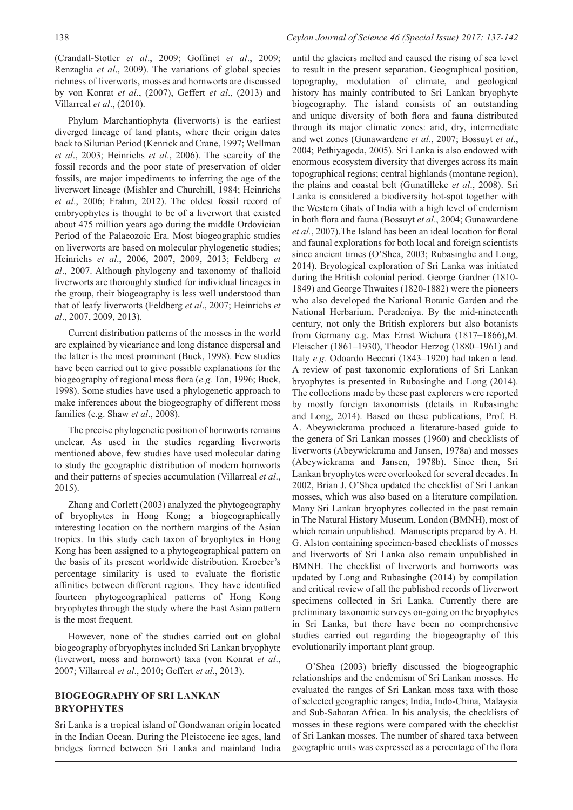(Crandall-Stotler *et al*., 2009; Goffinet *et al*., 2009; Renzaglia *et al*., 2009). The variations of global species richness of liverworts, mosses and hornworts are discussed by von Konrat *et al*., (2007), Geffert *et al*., (2013) and Villarreal *et al*., (2010).

Phylum Marchantiophyta (liverworts) is the earliest diverged lineage of land plants, where their origin dates back to Silurian Period (Kenrick and Crane, 1997; Wellman *et al*., 2003; Heinrichs *et al*., 2006). The scarcity of the fossil records and the poor state of preservation of older fossils, are major impediments to inferring the age of the liverwort lineage (Mishler and Churchill, 1984; Heinrichs *et al*., 2006; Frahm, 2012). The oldest fossil record of embryophytes is thought to be of a liverwort that existed about 475 million years ago during the middle Ordovician Period of the Palaeozoic Era. Most biogeographic studies on liverworts are based on molecular phylogenetic studies; Heinrichs *et al*., 2006, 2007, 2009, 2013; Feldberg *et al*., 2007. Although phylogeny and taxonomy of thalloid liverworts are thoroughly studied for individual lineages in the group, their biogeography is less well understood than that of leafy liverworts (Feldberg *et al*., 2007; Heinrichs *et al*., 2007, 2009, 2013).

Current distribution patterns of the mosses in the world are explained by vicariance and long distance dispersal and the latter is the most prominent (Buck, 1998). Few studies have been carried out to give possible explanations for the biogeography of regional moss flora (*e.g.* Tan, 1996; Buck, 1998). Some studies have used a phylogenetic approach to make inferences about the biogeography of different moss families (e.g. Shaw *et al*., 2008).

The precise phylogenetic position of hornworts remains unclear. As used in the studies regarding liverworts mentioned above, few studies have used molecular dating to study the geographic distribution of modern hornworts and their patterns of species accumulation (Villarreal *et al*., 2015).

Zhang and Corlett (2003) analyzed the phytogeography of bryophytes in Hong Kong; a biogeographically interesting location on the northern margins of the Asian tropics. In this study each taxon of bryophytes in Hong Kong has been assigned to a phytogeographical pattern on the basis of its present worldwide distribution. Kroeber's percentage similarity is used to evaluate the floristic affinities between different regions. They have identified fourteen phytogeographical patterns of Hong Kong bryophytes through the study where the East Asian pattern is the most frequent.

However, none of the studies carried out on global biogeography of bryophytes included Sri Lankan bryophyte (liverwort, moss and hornwort) taxa (von Konrat *et al*., 2007; Villarreal *et al*., 2010; Geffert *et al*., 2013).

### **BIOGEOGRAPHY OF SRI LANKAN BRYOPHYTES**

Sri Lanka is a tropical island of Gondwanan origin located in the Indian Ocean. During the Pleistocene ice ages, land bridges formed between Sri Lanka and mainland India

until the glaciers melted and caused the rising of sea level to result in the present separation. Geographical position, topography, modulation of climate, and geological history has mainly contributed to Sri Lankan bryophyte biogeography. The island consists of an outstanding and unique diversity of both flora and fauna distributed through its major climatic zones: arid, dry, intermediate and wet zones (Gunawardene *et al.*, 2007; Bossuyt *et al*., 2004; Pethiyagoda, 2005). Sri Lanka is also endowed with enormous ecosystem diversity that diverges across its main topographical regions; central highlands (montane region), the plains and coastal belt (Gunatilleke *et al*., 2008). Sri Lanka is considered a biodiversity hot-spot together with the Western Ghats of India with a high level of endemism in both flora and fauna (Bossuyt *et al*., 2004; Gunawardene *et al.*, 2007).The Island has been an ideal location for floral and faunal explorations for both local and foreign scientists since ancient times (O'Shea, 2003; Rubasinghe and Long, 2014). Bryological exploration of Sri Lanka was initiated during the British colonial period. George Gardner (1810- 1849) and George Thwaites (1820-1882) were the pioneers who also developed the National Botanic Garden and the National Herbarium, Peradeniya. By the mid-nineteenth century, not only the British explorers but also botanists from Germany e.g. Max Ernst Wichura (1817–1866),M. Fleischer (1861–1930), Theodor Herzog (1880–1961) and Italy *e.g.* Odoardo Beccari (1843–1920) had taken a lead. A review of past taxonomic explorations of Sri Lankan bryophytes is presented in Rubasinghe and Long (2014). The collections made by these past explorers were reported by mostly foreign taxonomists (details in Rubasinghe and Long, 2014). Based on these publications, Prof. B. A. Abeywickrama produced a literature-based guide to the genera of Sri Lankan mosses (1960) and checklists of liverworts (Abeywickrama and Jansen, 1978a) and mosses (Abeywickrama and Jansen, 1978b). Since then, Sri Lankan bryophytes were overlooked for several decades. In 2002, Brian J. O'Shea updated the checklist of Sri Lankan mosses, which was also based on a literature compilation. Many Sri Lankan bryophytes collected in the past remain in The Natural History Museum, London (BMNH), most of which remain unpublished. Manuscripts prepared by A. H. G. Alston containing specimen-based checklists of mosses and liverworts of Sri Lanka also remain unpublished in BMNH. The checklist of liverworts and hornworts was updated by Long and Rubasinghe (2014) by compilation and critical review of all the published records of liverwort specimens collected in Sri Lanka. Currently there are preliminary taxonomic surveys on-going on the bryophytes in Sri Lanka, but there have been no comprehensive studies carried out regarding the biogeography of this evolutionarily important plant group.

O'Shea (2003) briefly discussed the biogeographic relationships and the endemism of Sri Lankan mosses. He evaluated the ranges of Sri Lankan moss taxa with those of selected geographic ranges; India, Indo-China, Malaysia and Sub-Saharan Africa. In his analysis, the checklists of mosses in these regions were compared with the checklist of Sri Lankan mosses. The number of shared taxa between geographic units was expressed as a percentage of the flora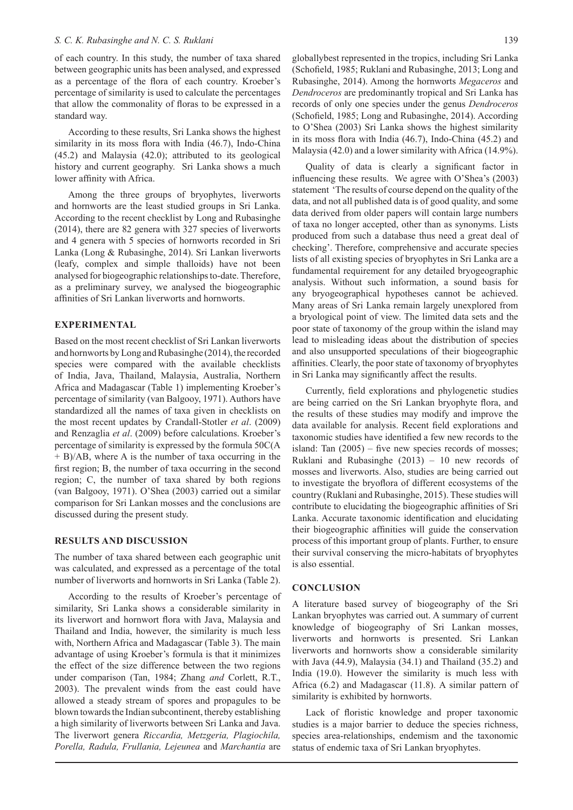of each country. In this study, the number of taxa shared between geographic units has been analysed, and expressed as a percentage of the flora of each country. Kroeber's percentage of similarity is used to calculate the percentages that allow the commonality of floras to be expressed in a standard way.

According to these results, Sri Lanka shows the highest similarity in its moss flora with India (46.7), Indo-China (45.2) and Malaysia (42.0); attributed to its geological history and current geography. Sri Lanka shows a much lower affinity with Africa.

Among the three groups of bryophytes, liverworts and hornworts are the least studied groups in Sri Lanka. According to the recent checklist by Long and Rubasinghe (2014), there are 82 genera with 327 species of liverworts and 4 genera with 5 species of hornworts recorded in Sri Lanka (Long & Rubasinghe, 2014). Sri Lankan liverworts (leafy, complex and simple thalloids) have not been analysed for biogeographic relationships to-date. Therefore, as a preliminary survey, we analysed the biogeographic affinities of Sri Lankan liverworts and hornworts.

### **EXPERIMENTAL**

Based on the most recent checklist of Sri Lankan liverworts and hornworts by Long and Rubasinghe (2014), the recorded species were compared with the available checklists of India, Java, Thailand, Malaysia, Australia, Northern Africa and Madagascar (Table 1) implementing Kroeber's percentage of similarity (van Balgooy, 1971). Authors have standardized all the names of taxa given in checklists on the most recent updates by Crandall-Stotler *et al*. (2009) and Renzaglia *et al*. (2009) before calculations. Kroeber's percentage of similarity is expressed by the formula 50C(A + B)/AB, where A is the number of taxa occurring in the first region; B, the number of taxa occurring in the second region; C, the number of taxa shared by both regions (van Balgooy, 1971). O'Shea (2003) carried out a similar comparison for Sri Lankan mosses and the conclusions are discussed during the present study.

#### **RESULTS AND DISCUSSION**

The number of taxa shared between each geographic unit was calculated, and expressed as a percentage of the total number of liverworts and hornworts in Sri Lanka (Table 2).

According to the results of Kroeber's percentage of similarity, Sri Lanka shows a considerable similarity in its liverwort and hornwort flora with Java, Malaysia and Thailand and India, however, the similarity is much less with, Northern Africa and Madagascar (Table 3). The main advantage of using Kroeber's formula is that it minimizes the effect of the size difference between the two regions under comparison (Tan, 1984; Zhang *and* Corlett, R.T., 2003). The prevalent winds from the east could have allowed a steady stream of spores and propagules to be blown towards the Indian subcontinent, thereby establishing a high similarity of liverworts between Sri Lanka and Java. The liverwort genera *Riccardia, Metzgeria, Plagiochila, Porella, Radula, Frullania, Lejeunea* and *Marchantia* are

globallybest represented in the tropics, including Sri Lanka (Schofield, 1985; Ruklani and Rubasinghe, 2013; Long and Rubasinghe, 2014). Among the hornworts *Megaceros* and *Dendroceros* are predominantly tropical and Sri Lanka has records of only one species under the genus *Dendroceros* (Schofield, 1985; Long and Rubasinghe, 2014). According to O'Shea (2003) Sri Lanka shows the highest similarity in its moss flora with India (46.7), Indo-China (45.2) and Malaysia (42.0) and a lower similarity with Africa (14.9%).

Quality of data is clearly a significant factor in influencing these results. We agree with O'Shea's (2003) statement 'The results of course depend on the quality of the data, and not all published data is of good quality, and some data derived from older papers will contain large numbers of taxa no longer accepted, other than as synonyms. Lists produced from such a database thus need a great deal of checking'. Therefore, comprehensive and accurate species lists of all existing species of bryophytes in Sri Lanka are a fundamental requirement for any detailed bryogeographic analysis. Without such information, a sound basis for any bryogeographical hypotheses cannot be achieved. Many areas of Sri Lanka remain largely unexplored from a bryological point of view. The limited data sets and the poor state of taxonomy of the group within the island may lead to misleading ideas about the distribution of species and also unsupported speculations of their biogeographic affinities. Clearly, the poor state of taxonomy of bryophytes in Sri Lanka may significantly affect the results.

Currently, field explorations and phylogenetic studies are being carried on the Sri Lankan bryophyte flora, and the results of these studies may modify and improve the data available for analysis. Recent field explorations and taxonomic studies have identified a few new records to the island: Tan  $(2005)$  – five new species records of mosses: Ruklani and Rubasinghe (2013) – 10 new records of mosses and liverworts. Also, studies are being carried out to investigate the bryoflora of different ecosystems of the country (Ruklani and Rubasinghe, 2015). These studies will contribute to elucidating the biogeographic affinities of Sri Lanka. Accurate taxonomic identification and elucidating their biogeographic affinities will guide the conservation process of this important group of plants. Further, to ensure their survival conserving the micro-habitats of bryophytes is also essential.

#### **CONCLUSION**

A literature based survey of biogeography of the Sri Lankan bryophytes was carried out. A summary of current knowledge of biogeography of Sri Lankan mosses, liverworts and hornworts is presented. Sri Lankan liverworts and hornworts show a considerable similarity with Java (44.9), Malaysia (34.1) and Thailand (35.2) and India (19.0). However the similarity is much less with Africa (6.2) and Madagascar (11.8). A similar pattern of similarity is exhibited by hornworts.

Lack of floristic knowledge and proper taxonomic studies is a major barrier to deduce the species richness, species area-relationships, endemism and the taxonomic status of endemic taxa of Sri Lankan bryophytes.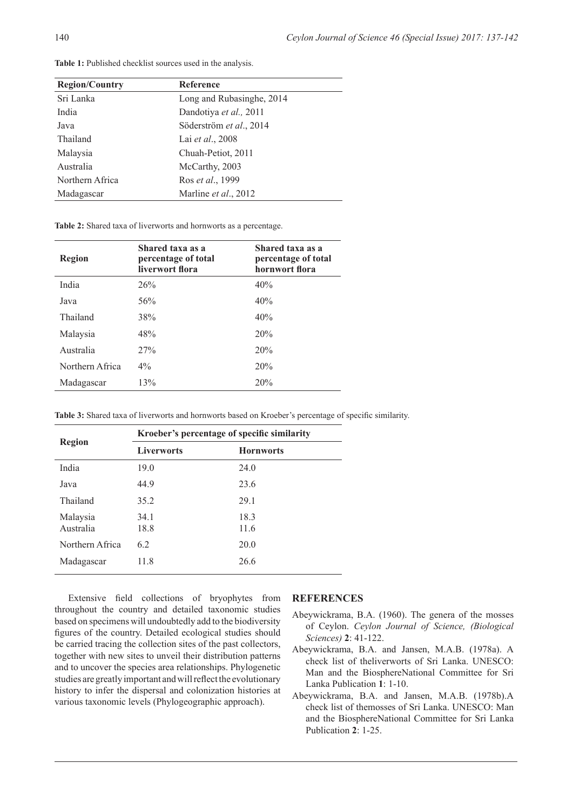| <b>Reference</b>          |
|---------------------------|
| Long and Rubasinghe, 2014 |
| Dandotiya et al., 2011    |
| Söderström et al., 2014   |
| Lai et al., 2008          |
| Chuah-Petiot, 2011        |
| McCarthy, 2003            |
| Ros et al., 1999          |
| Marline et al., 2012      |
|                           |

Table 1: Published checklist sources used in the analysis.

**Table 2:** Shared taxa of liverworts and hornworts as a percentage.

| Region          | Shared taxa as a<br>percentage of total<br>liverwort flora | Shared taxa as a<br>percentage of total<br>hornwort flora |
|-----------------|------------------------------------------------------------|-----------------------------------------------------------|
| India           | 26%                                                        | 40%                                                       |
| Java            | 56%                                                        | 40%                                                       |
| Thailand        | 38%                                                        | 40%                                                       |
| Malaysia        | 48%                                                        | 20%                                                       |
| Australia       | 27%                                                        | 20%                                                       |
| Northern Africa | $4\%$                                                      | 20%                                                       |
| Madagascar      | 13%                                                        | 20%                                                       |

**Table 3:** Shared taxa of liverworts and hornworts based on Kroeber's percentage of specific similarity.

| <b>Region</b>         | Kroeber's percentage of specific similarity |                  |  |
|-----------------------|---------------------------------------------|------------------|--|
|                       | <b>Liverworts</b>                           | <b>Hornworts</b> |  |
| India                 | 19.0                                        | 24.0             |  |
| Java                  | 44.9                                        | 23.6             |  |
| Thailand              | 35.2                                        | 29.1             |  |
| Malaysia<br>Australia | 34.1<br>18.8                                | 18.3<br>11.6     |  |
| Northern Africa       | 6.2                                         | 20.0             |  |
| Madagascar            | 11.8                                        | 26.6             |  |

Extensive field collections of bryophytes from throughout the country and detailed taxonomic studies based on specimens will undoubtedly add to the biodiversity figures of the country. Detailed ecological studies should be carried tracing the collection sites of the past collectors, together with new sites to unveil their distribution patterns and to uncover the species area relationships. Phylogenetic studies are greatly important and will reflect the evolutionary history to infer the dispersal and colonization histories at various taxonomic levels (Phylogeographic approach).

#### **REFERENCES**

- Abeywickrama, B.A. (1960). The genera of the mosses of Ceylon. *Ceylon Journal of Science, (Biological Sciences)* **2**: 41-122.
- Abeywickrama, B.A. and Jansen, M.A.B. (1978a). A check list of theliverworts of Sri Lanka. UNESCO: Man and the BiosphereNational Committee for Sri Lanka Publication **1**: 1-10.
- Abeywickrama, B.A. and Jansen, M.A.B. (1978b).A check list of themosses of Sri Lanka. UNESCO: Man and the BiosphereNational Committee for Sri Lanka Publication **2**: 1-25.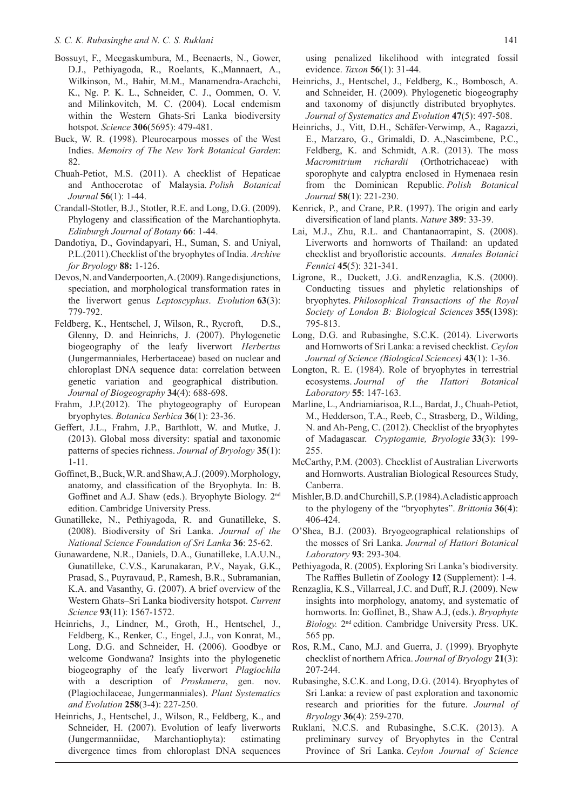#### *S. C. K. Rubasinghe and N. C. S. Ruklani*

- Bossuyt, F., Meegaskumbura, M., Beenaerts, N., Gower, D.J., Pethiyagoda, R., Roelants, K.,Mannaert, A., Wilkinson, M., Bahir, M.M., Manamendra-Arachchi, K., Ng. P. K. L., Schneider, C. J., Oommen, O. V. and Milinkovitch, M. C. (2004). Local endemism within the Western Ghats-Sri Lanka biodiversity hotspot. *Science* **306**(5695): 479-481.
- Buck, W. R. (1998). Pleurocarpous mosses of the West Indies. *Memoirs of The New York Botanical Garden*: 82.
- Chuah-Petiot, M.S. (2011). A checklist of Hepaticae and Anthocerotae of Malaysia. *Polish Botanical Journal* **56**(1): 1-44.
- Crandall-Stotler, B.J., Stotler, R.E. and Long, D.G. (2009). Phylogeny and classification of the Marchantiophyta. *Edinburgh Journal of Botany* **66**: 1-44.
- Dandotiya, D., Govindapyari, H., Suman, S. and Uniyal, P.L.(2011).Checklist of the bryophytes of India. *Archive for Bryology* **88:** 1-126.
- Devos, N. and Vanderpoorten, A. (2009). Range disjunctions, speciation, and morphological transformation rates in the liverwort genus *Leptoscyphus*. *Evolution* **63**(3): 779-792.
- Feldberg, K., Hentschel, J, Wilson, R., Rycroft, D.S., Glenny, D. and Heinrichs, J. (2007). Phylogenetic biogeography of the leafy liverwort *Herbertus* (Jungermanniales, Herbertaceae) based on nuclear and chloroplast DNA sequence data: correlation between genetic variation and geographical distribution. *Journal of Biogeography* **34**(4): 688-698.
- Frahm, J.P.(2012). The phytogeography of European bryophytes. *Botanica Serbica* **36**(1): 23-36.
- Geffert, J.L., Frahm, J.P., Barthlott, W. and Mutke, J. (2013). Global moss diversity: spatial and taxonomic patterns of species richness. *Journal of Bryology* **35**(1): 1-11.
- Goffinet, B., Buck, W.R. and Shaw, A.J. (2009). Morphology, anatomy, and classification of the Bryophyta. In: B. Goffinet and A.J. Shaw (eds.). Bryophyte Biology. 2nd edition. Cambridge University Press.
- Gunatilleke, N., Pethiyagoda, R. and Gunatilleke, S. (2008). Biodiversity of Sri Lanka. *Journal of the National Science Foundation of Sri Lanka* **36**: 25-62.
- Gunawardene, N.R., Daniels, D.A., Gunatilleke, I.A.U.N., Gunatilleke, C.V.S., Karunakaran, P.V., Nayak, G.K., Prasad, S., Puyravaud, P., Ramesh, B.R., Subramanian, K.A. and Vasanthy, G. (2007). A brief overview of the Western Ghats–Sri Lanka biodiversity hotspot. *Current Science* **93**(11): 1567-1572.
- Heinrichs, J., Lindner, M., Groth, H., Hentschel, J., Feldberg, K., Renker, C., Engel, J.J., von Konrat, M., Long, D.G. and Schneider, H. (2006). Goodbye or welcome Gondwana? Insights into the phylogenetic biogeography of the leafy liverwort *Plagiochila* with a description of *Proskauera*, gen. nov. (Plagiochilaceae, Jungermanniales). *Plant Systematics and Evolution* **258**(3-4): 227-250.
- Heinrichs, J., Hentschel, J., Wilson, R., Feldberg, K., and Schneider, H. (2007). Evolution of leafy liverworts (Jungermanniidae, Marchantiophyta): estimating divergence times from chloroplast DNA sequences

using penalized likelihood with integrated fossil evidence. *Taxon* **56**(1): 31-44.

- Heinrichs, J., Hentschel, J., Feldberg, K., Bombosch, A. and Schneider, H. (2009). Phylogenetic biogeography and taxonomy of disjunctly distributed bryophytes. *Journal of Systematics and Evolution* **47**(5): 497-508.
- Heinrichs, J., Vitt, D.H., Schäfer-Verwimp, A., Ragazzi, E., Marzaro, G., Grimaldi, D. A.,Nascimbene, P.C., Feldberg, K. and Schmidt, A.R. (2013). The moss *Macromitrium richardii* (Orthotrichaceae) with sporophyte and calyptra enclosed in Hymenaea resin from the Dominican Republic. *Polish Botanical Journal* **58**(1): 221-230.
- Kenrick, P., and Crane, P.R. (1997). The origin and early diversification of land plants. *Nature* **389**: 33-39.
- Lai, M.J., Zhu, R.L. and Chantanaorrapint, S. (2008). Liverworts and hornworts of Thailand: an updated checklist and bryofloristic accounts. *Annales Botanici Fennici* **45**(5): 321-341.
- Ligrone, R., Duckett, J.G. andRenzaglia, K.S. (2000). Conducting tissues and phyletic relationships of bryophytes. *Philosophical Transactions of the Royal Society of London B: Biological Sciences* **355**(1398): 795-813.
- Long, D.G. and Rubasinghe, S.C.K. (2014). Liverworts and Hornworts of Sri Lanka: a revised checklist. *Ceylon Journal of Science (Biological Sciences)* **43**(1): 1-36.
- Longton, R. E. (1984). Role of bryophytes in terrestrial ecosystems. *Journal of the Hattori Botanical Laboratory* **55**: 147-163.
- Marline, L., Andriamiarisoa, R.L., Bardat, J., Chuah-Petiot, M., Hedderson, T.A., Reeb, C., Strasberg, D., Wilding, N. and Ah-Peng, C. (2012). Checklist of the bryophytes of Madagascar. *Cryptogamie, Bryologie* **33**(3): 199- 255.
- McCarthy, P.M. (2003). Checklist of Australian Liverworts and Hornworts. Australian Biological Resources Study, Canberra.
- Mishler, B.D. and Churchill, S.P. (1984).A cladistic approach to the phylogeny of the "bryophytes". *Brittonia* **36**(4): 406-424.
- O'Shea, B.J. (2003). Bryogeographical relationships of the mosses of Sri Lanka. *Journal of Hattori Botanical Laboratory* **93**: 293-304.
- Pethiyagoda, R. (2005). Exploring Sri Lanka's biodiversity. The Raffles Bulletin of Zoology **12** (Supplement): 1-4.
- Renzaglia, K.S., Villarreal, J.C. and Duff, R.J. (2009). New insights into morphology, anatomy, and systematic of hornworts. In: Goffinet, B., Shaw A.J, (eds.). *Bryophyte Biology.* 2nd edition. Cambridge University Press. UK. 565 pp.
- Ros, R.M., Cano, M.J. and Guerra, J. (1999). Bryophyte checklist of northern Africa. *Journal of Bryology* **21**(3): 207-244.
- Rubasinghe, S.C.K. and Long, D.G. (2014). Bryophytes of Sri Lanka: a review of past exploration and taxonomic research and priorities for the future. *Journal of Bryology* **36**(4): 259-270.
- Ruklani, N.C.S. and Rubasinghe, S.C.K. (2013). A preliminary survey of Bryophytes in the Central Province of Sri Lanka. *Ceylon Journal of Science*